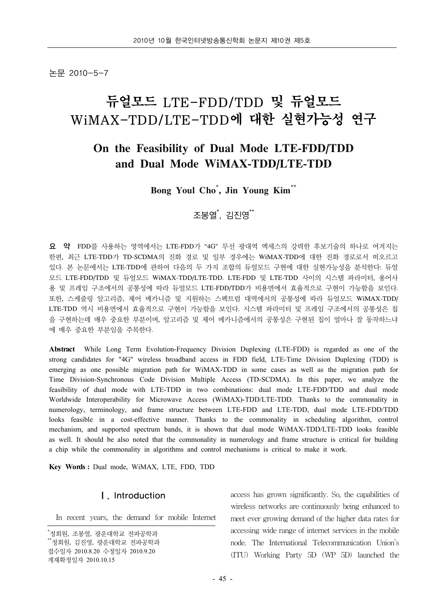논문 2010-5-7

# 듀얼모드 LTE-FDD/TDD 및 듀얼모드 WiMAX-TDD/LTE-TDD에 대한 실현가능성 연구

## **On the Feasibility of Dual Mode LTE-FDD/TDD and Dual Mode WiMAX-TDD/LTE-TDD**

## **Bong Youl Cho\* , Jin Young Kim\*\***

## 조봉열<sup>\*</sup>, 김진영<sup>\*\*</sup>

**요 약** FDD를 사용하는 영역에서는 LTE-FDD가 "4G" 무선 광대역 엑세스의 강력한 후보기술의 하나로 여겨지는 한편, 최근 LTE-TDD가 TD-SCDMA의 진화 경로 및 일부 경우에는 WiMAX-TDD에 대한 진화 경로로서 떠오르고 있다. 본 논문에서는 LTE-TDD에 관하여 다음의 두 가지 조합의 듀얼모드 구현에 대한 실현가능성을 분석한다: 듀얼 모드 LTE-FDD/TDD 및 듀얼모드 WiMAX-TDD/LTE-TDD. LTE-FDD 및 LTE-TDD 사이의 시스템 파라미터, 용어사 용 및 프레임 구조에서의 공통성에 따라 듀얼모드 LTE-FDD/TDD가 비용면에서 효율적으로 구현이 가능함을 보인다. 또한, 스케줄링 알고리즘, 제어 메카니즘 및 지원하는 스펙트럼 대역에서의 공통성에 따라 듀얼모드 WiMAX-TDD/ LTE-TDD 역시 비용면에서 효율적으로 구현이 가능함을 보인다. 시스템 파라미터 및 프레임 구조에서의 공통성은 칩 을 구현하는데 매우 중요한 부분이며, 알고리즘 및 제어 메카니즘에서의 공통성은 구현된 칩이 얼마나 잘 동작하느냐 에 매우 중요한 부분임을 주목한다.

**Abstract** While Long Term Evolution-Frequency Division Duplexing (LTE-FDD) is regarded as one of the strong candidates for "4G" wireless broadband access in FDD field, LTE-Time Division Duplexing (TDD) is emerging as one possible migration path for WiMAX-TDD in some cases as well as the migration path for Time Division-Synchronous Code Division Multiple Access (TD-SCDMA). In this paper, we analyze the feasibility of dual mode with LTE-TDD in two combinations: dual mode LTE-FDD/TDD and dual mode Worldwide Interoperability for Microwave Access (WiMAX)-TDD/LTE-TDD. Thanks to the commonality in numerology, terminology, and frame structure between LTE-FDD and LTE-TDD, dual mode LTE-FDD/TDD looks feasible in a cost-effective manner. Thanks to the commonality in scheduling algorithm, control mechanism, and supported spectrum bands, it is shown that dual mode WiMAX-TDD/LTE-TDD looks feasible as well. It should be also noted that the commonality in numerology and frame structure is critical for building a chip while the commonality in algorithms and control mechanisms is critical to make it work.

**Key Words :** Dual mode, WiMAX, LTE, FDD, TDD

## Ⅰ. Introduction

In recent years, the demand for mobile Internet

access has grown significantly. So, the capabilities of wireless networks are continuously being enhanced to meet ever growing demand of the higher data rates for accessing wide range of internet services in the mobile node. The International Telecommunication Union's (ITU) Working Party 5D (WP 5D) launched the

<sup>\*</sup> 정회원, 조봉열, 광운대학교 전파공학과 \*\*정회원, 김진영, 광운대학교 전파공학과 접수일자 2010.8.20 수정일자 2010.9.20 게재확정일자 2010.10.15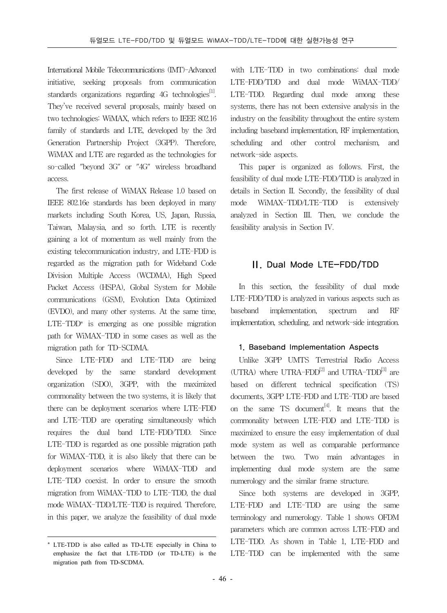International Mobile Telecommunications (IMT)-Advanced initiative, seeking proposals from communication standards organizations regarding  $4G$  technologies<sup>[1]</sup>. They've received several proposals, mainly based on two technologies: WiMAX, which refers to IEEE 802.16 family of standards and LTE, developed by the 3rd Generation Partnership Project (3GPP). Therefore, WiMAX and LTE are regarded as the technologies for so-called "beyond 3G" or "4G" wireless broadband access.

The first release of WiMAX Release 1.0 based on IEEE 802.16e standards has been deployed in many markets including South Korea, US, Japan, Russia, Taiwan, Malaysia, and so forth. LTE is recently gaining a lot of momentum as well mainly from the existing telecommunication industry, and LTE-FDD is regarded as the migration path for Wideband Code Division Multiple Access (WCDMA), High Speed Packet Access (HSPA), Global System for Mobile communications (GSM), Evolution Data Optimized (EVDO), and many other systems. At the same time,  $LTE-TDD*$  is emerging as one possible migration path for WiMAX-TDD in some cases as well as the migration path for TD-SCDMA.

Since LTE-FDD and LTE-TDD are being developed by the same standard development organization (SDO), 3GPP, with the maximized commonality between the two systems, it is likely that there can be deployment scenarios where LTE-FDD and LTE-TDD are operating simultaneously which requires the dual band LTE-FDD/TDD. Since LTE-TDD is regarded as one possible migration path for WiMAX-TDD, it is also likely that there can be deployment scenarios where WiMAX-TDD and LTE-TDD coexist. In order to ensure the smooth migration from WiMAX-TDD to LTE-TDD, the dual mode WiMAX-TDD/LTE-TDD is required. Therefore, in this paper, we analyze the feasibility of dual mode

with LTE-TDD in two combinations: dual mode LTE-FDD/TDD and dual mode WiMAX-TDD/ LTE-TDD. Regarding dual mode among these systems, there has not been extensive analysis in the industry on the feasibility throughout the entire system including baseband implementation, RF implementation, scheduling and other control mechanism, and network-side aspects.

This paper is organized as follows. First, the feasibility of dual mode LTE-FDD/TDD is analyzed in details in Section II. Secondly, the feasibility of dual mode WiMAX-TDD/LTE-TDD is extensively analyzed in Section III. Then, we conclude the feasibility analysis in Section IV.

### Ⅱ. Dual Mode LTE-FDD/TDD

In this section, the feasibility of dual mode LTE-FDD/TDD is analyzed in various aspects such as baseband implementation, spectrum and RF implementation, scheduling, and network-side integration.

#### 1. Baseband Implementation Aspects

Unlike 3GPP UMTS Terrestrial Radio Access (UTRA) where UTRA-FDD $^{[2]}$  and UTRA-TDD $^{[3]}$  are based on different technical specification (TS) documents, 3GPP LTE-FDD and LTE-TDD are based on the same TS document<sup>[4]</sup>. It means that the commonality between LTE-FDD and LTE-TDD is maximized to ensure the easy implementation of dual mode system as well as comparable performance between the two. Two main advantages in implementing dual mode system are the same numerology and the similar frame structure.

Since both systems are developed in 3GPP, LTE-FDD and LTE-TDD are using the same terminology and numerology. Table 1 shows OFDM parameters which are common across LTE-FDD and LTE-TDD. As shown in Table 1, LTE-FDD and LTE-TDD can be implemented with the same

<sup>\*</sup> LTE-TDD is also called as TD-LTE especially in China to emphasize the fact that LTE-TDD (or TD-LTE) is the migration path from TD-SCDMA.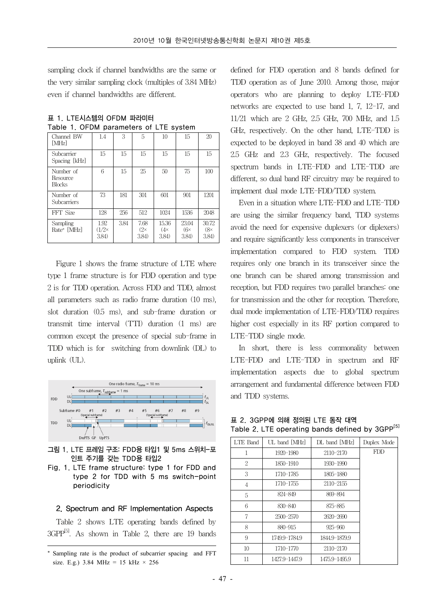sampling clock if channel bandwidths are the same or the very similar sampling clock (multiples of 3.84 MHz) even if channel bandwidths are different.

| Channel BW<br>[MHz]             | 1.4                           | 3      | 5                           | 10                           | 15                           | 20                           |
|---------------------------------|-------------------------------|--------|-----------------------------|------------------------------|------------------------------|------------------------------|
| Subcarrier<br>Spacing [kHz]     | 15                            | $15\,$ | $15\,$                      | $15\,$                       | 15                           | 15                           |
| Number of<br>Resource<br>Blocks | 6                             | 15     | 25                          | 50                           | 75                           | 100                          |
| Number of<br><b>Subcarriers</b> | 73                            | 181    | 301                         | 601                          | 901                          | 1201                         |
| FFT Size                        | 128                           | 256    | 512                         | 1024                         | 1536                         | 2048                         |
| Sampling<br>Rate* [MHz]         | 1.92<br>$(1/2\times$<br>3.84) | 3.84   | 7.68<br>$(2\times$<br>3.84) | 15.36<br>$(4\times$<br>3.84) | 23.04<br>$(6\times$<br>3.84) | 30.72<br>$(8\times$<br>3.84) |

**표 1. LTE시스템의 OFDM 파라미터 Table 1. OFDM parameters of LTE system**

Figure 1 shows the frame structure of LTE where type 1 frame structure is for FDD operation and type 2 is for TDD operation. Across FDD and TDD, almost all parameters such as radio frame duration (10 ms), slot duration (0.5 ms), and sub-frame duration or transmit time interval (TTI) duration (1 ms) are common except the presence of special sub-frame in TDD which is for switching from downlink (DL) to uplink (UL).



**그림 1. LTE 프레임 구조: FDD용 타입1 및 5ms 스위치-포 인트 주기를 갖는 TDD용 타입2**

**Fig. 1. LTE frame structure: type 1 for FDD and type 2 for TDD with 5 ms switch-point periodicity**

#### 2. Spectrum and RF Implementation Aspects

Table 2 shows LTE operating bands defined by  $3GPP^{5}$ . As shown in Table 2, there are 19 bands

defined for FDD operation and 8 bands defined for TDD operation as of June 2010. Among those, major operators who are planning to deploy LTE-FDD networks are expected to use band 1, 7, 12-17, and 11/21 which are 2 GHz, 2.5 GHz, 700 MHz, and 1.5 GHz, respectively. On the other hand, LTE-TDD is expected to be deployed in band 38 and 40 which are 2.5 GHz and 2.3 GHz, respectively. The focused spectrum bands in LTE-FDD and LTE-TDD are different, so dual band RF circuitry may be required to implement dual mode LTE-FDD/TDD system.

Even in a situation where LTE-FDD and LTE-TDD are using the similar frequency band, TDD systems avoid the need for expensive duplexers (or diplexers) and require significantly less components in transceiver implementation compared to FDD system. TDD requires only one branch in its transceiver since the one branch can be shared among transmission and reception, but FDD requires two parallel branches: one for transmission and the other for reception. Therefore, dual mode implementation of LTE-FDD/TDD requires higher cost especially in its RF portion compared to LTE-TDD single mode.

In short, there is less commonality between LTE-FDD and LTE-TDD in spectrum and RF implementation aspects due to global spectrum arrangement and fundamental difference between FDD and TDD systems.

**표 2. 3GPP에 의해 정의된 LTE 동작 대역 Table 2. LTE operating bands defined by 3GPP[5]**

| LTE Band       | UL band [MHz] | DL band [MHz] | Duplex Mode |
|----------------|---------------|---------------|-------------|
| 1              | 1920-1980     | 2110-2170     | <b>FDD</b>  |
| $\overline{2}$ | 1850-1910     | 1930-1990     |             |
| 3              | 1710-1785     | 1805-1880     |             |
| 4              | 1710-1755     | 2110-2155     |             |
| 5              | 824-849       | 869-894       |             |
| 6              | 830-840       | 875-885       |             |
| 7              | 2500-2570     | 2620-2690     |             |
| 8              | 880-915       | $925 - 960$   |             |
| 9              | 1749.9-1784.9 | 1844.9-1879.9 |             |
| 10             | 1710-1770     | 2110-2170     |             |
| 11             | 1427.9-1447.9 | 1475.9-1495.9 |             |

<sup>\*</sup> Sampling rate is the product of subcarrier spacing and FFT size. E.g.) 3.84 MHz = 15 kHz  $\times$  256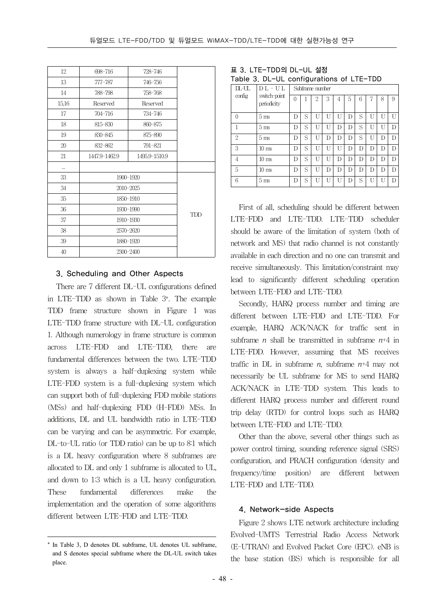| 12    | 698-716       | 728-746       |  |
|-------|---------------|---------------|--|
| 13    | $777 - 787$   | 746-756       |  |
| 14    | 788-798       | 758-768       |  |
| 15,16 | Reserved      | Reserved      |  |
| 17    | 704-716       | 734-746       |  |
| 18    | 815-830       | 860-875       |  |
| 19    | 830-845       | 875-890       |  |
| 20    | 832-862       | 791-821       |  |
| 21    | 1447.9-1462.9 | 1495.9-1510.9 |  |
|       |               |               |  |
| 33    |               | 1900-1920     |  |
| 34    | 2010-2025     |               |  |
| 35    | 1850-1910     |               |  |
| 36    | 1930-1990     | <b>TDD</b>    |  |
| 37    | 1910-1930     |               |  |
| 38    | 2570-2620     |               |  |
| 39    | 1880-1920     |               |  |
| 40    | 2300-2400     |               |  |

#### 3. Scheduling and Other Aspects

There are 7 different DL-UL configurations defined in LTE-TDD as shown in Table 3\*. The example TDD frame structure shown in Figure 1 was LTE-TDD frame structure with DL-UL configuration 1. Although numerology in frame structure is common across LTE-FDD and LTE-TDD, there are fundamental differences between the two. LTE-TDD system is always a half-duplexing system while LTE-FDD system is a full-duplexing system which can support both of full-duplexing FDD mobile stations (MSs) and half-duplexing FDD (H-FDD) MSs. In additions, DL and UL bandwidth ratio in LTE-TDD can be varying and can be asymmetric. For example, DL-to-UL ratio (or TDD ratio) can be up to 8:1 which is a DL heavy configuration where 8 subframes are allocated to DL and only 1 subframe is allocated to UL, and down to 1:3 which is a UL heavy configuration. These fundamental differences make the implementation and the operation of some algorithms different between LTE-FDD and LTE-TDD.

| 표 3. LTE-TDD의 DL-UL 설정 |  |
|------------------------|--|
|------------------------|--|

| $TL - UL$      | $D L - U L$                 | Subframe number |   |                |   |   |   |   |   |    |   |
|----------------|-----------------------------|-----------------|---|----------------|---|---|---|---|---|----|---|
| config         | switch-point<br>periodicity | $\Omega$        |   | $\overline{2}$ | 3 | 4 | 5 | 6 | 7 | 8  | 9 |
| $\Omega$       | 5 <sub>ms</sub>             | D               | S | U              | U | U | D | S | U | U  | U |
| 1              | 5 <sub>ms</sub>             | D               | S | U              | U | D | Ð | S | Ū | ĪΤ | Đ |
| $\overline{2}$ | 5 <sub>ms</sub>             | D               | S | U              | D | D | D | S | U | D  | D |
| 3              | $10 \text{ ms}$             | D               | S | U              | П | U | Ð | D | D | D  | D |
| $\overline{4}$ | $10 \text{ ms}$             | D               | S | U              | U | D | D | D | D | D  | D |
| 5              | $10 \text{ ms}$             | D               | S | U              | D | D | D | D | D | D  | D |
| 6              | 5 <sub>ms</sub>             | D               | S | $\mathbf{I}$   | Ū | U | Ð | S | Ū | ĪΤ | D |

First of all, scheduling should be different between LTE-FDD and LTE-TDD. LTE-TDD scheduler should be aware of the limitation of system (both of network and MS) that radio channel is not constantly available in each direction and no one can transmit and receive simultaneously. This limitation/constraint may lead to significantly different scheduling operation between LTE-FDD and LTE-TDD.

Secondly, HARQ process number and timing are different between LTE-FDD and LTE-TDD. For example, HARQ ACK/NACK for traffic sent in subframe *n* shall be transmitted in subframe  $n+4$  in LTE-FDD. However, assuming that MS receives traffic in DL in subframe  $n$ , subframe  $n+4$  may not necessarily be UL subframe for MS to send HARQ ACK/NACK in LTE-TDD system. This leads to different HARQ process number and different round trip delay (RTD) for control loops such as HARQ between LTE-FDD and LTE-TDD.

Other than the above, several other things such as power control timing, sounding reference signal (SRS) configuration, and PRACH configuration (density and frequency/time position) are different between LTE-FDD and LTE-TDD.

#### 4. Network-side Aspects

Figure 2 shows LTE network architecture including Evolved-UMTS Terrestrial Radio Access Network (E-UTRAN) and Evolved Packet Core (EPC). eNB is the base station (BS) which is responsible for all

<sup>\*</sup> In Table 3, D denotes DL subframe, UL denotes UL subframe, and S denotes special subframe where the DL-UL switch takes place.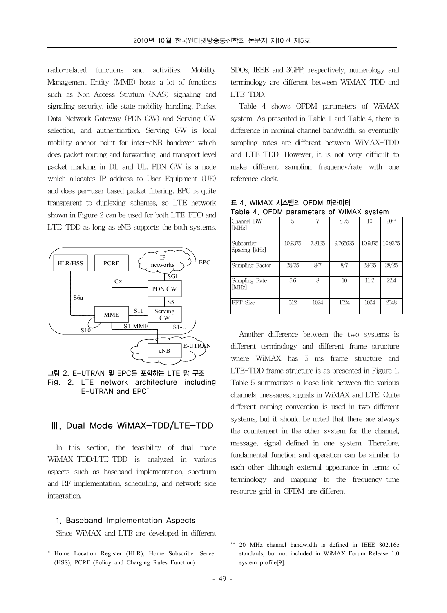radio-related functions and activities. Mobility Management Entity (MME) hosts a lot of functions such as Non-Access Stratum (NAS) signaling and signaling security, idle state mobility handling, Packet Data Network Gateway (PDN GW) and Serving GW selection, and authentication. Serving GW is local mobility anchor point for inter-eNB handover which does packet routing and forwarding, and transport level packet marking in DL and UL. PDN GW is a node which allocates IP address to User Equipment (UE) and does per-user based packet filtering. EPC is quite transparent to duplexing schemes, so LTE network shown in Figure 2 can be used for both LTE-FDD and LTE-TDD as long as eNB supports the both systems.



**그림 2. E-UTRAN 및 EPC를 포함하는 LTE 망 구조 Fig. 2. LTE network architecture including E-UTRAN and EPC\***

#### Ⅲ. Dual Mode WiMAX-TDD/LTE-TDD

In this section, the feasibility of dual mode WiMAX-TDD/LTE-TDD is analyzed in various aspects such as baseband implementation, spectrum and RF implementation, scheduling, and network-side integration.

#### 1. Baseband Implementation Aspects

Since WiMAX and LTE are developed in different

SDOs, IEEE and 3GPP, respectively, numerology and terminology are different between WiMAX-TDD and LTE-TDD.

Table 4 shows OFDM parameters of WiMAX system. As presented in Table 1 and Table 4, there is difference in nominal channel bandwidth, so eventually sampling rates are different between WiMAX-TDD and LTE-TDD. However, it is not very difficult to make different sampling frequency/rate with one reference clock.

**표 4. WiMAX 시스템의 OFDM 파라미터 Table 4. OFDM parameters of WiMAX system**

| Channel BW<br>[MHz]         | 5       |        | 8.75     | 10      | $20**$  |
|-----------------------------|---------|--------|----------|---------|---------|
| Subcarrier<br>Spacing [kHz] | 10.9375 | 7.8125 | 9.765625 | 10.9375 | 10.9375 |
| Sampling Factor             | 28/25   | 8/7    | 8/7      | 28/25   | 28/25   |
| Sampling Rate<br>[MHz]      | 5.6     | 8      | 10       | 11.2    | 22.4    |
| FFT Size                    | 512     | 1024   | 1024     | 1024    | 2048    |

Another difference between the two systems is different terminology and different frame structure where WiMAX has 5 ms frame structure and LTE-TDD frame structure is as presented in Figure 1. Table 5 summarizes a loose link between the various channels, messages, signals in WiMAX and LTE. Quite different naming convention is used in two different systems, but it should be noted that there are always the counterpart in the other system for the channel, message, signal defined in one system. Therefore, fundamental function and operation can be similar to each other although external appearance in terms of terminology and mapping to the frequency-time resource grid in OFDM are different.

<sup>\*</sup> Home Location Register (HLR), Home Subscriber Server (HSS), PCRF (Policy and Charging Rules Function)

<sup>20</sup> MHz channel bandwidth is defined in IEEE 802.16e standards, but not included in WiMAX Forum Release 1.0 system profile[9].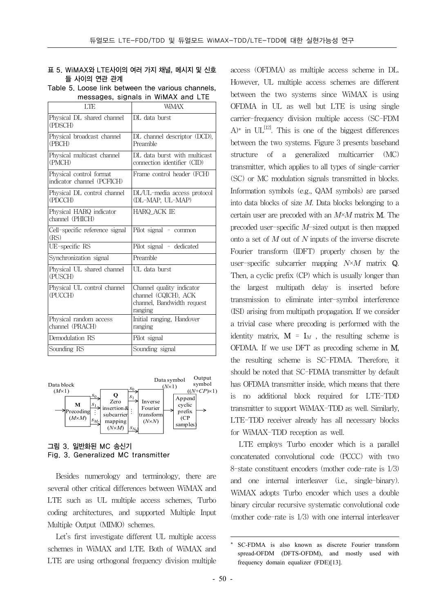#### **표 5. WiMAX와 LTE사이의 여러 가지 채널, 메시지 및 신호 들 사이의 연관 관계**

**Table 5. Loose link between the various channels, messages, signals in WiMAX and LTE**

| LTE                                                   | <b>WMAX</b>                                                                                |
|-------------------------------------------------------|--------------------------------------------------------------------------------------------|
| Physical DL shared channel<br>(PDSCH)                 | DL data burst                                                                              |
| Physical broadcast channel<br>(PBCH)                  | DL channel descriptor (DCD),<br>Preamble                                                   |
| Physical multicast channel<br>(PMCH)                  | DL data burst with multicast<br>connection identifier (CID)                                |
| Physical control format<br>indicator channel (PCFICH) | Frame control header (FCH)                                                                 |
| Physical DL control channel<br>(PDCCH)                | DL/UL-media access protocol<br>(DL-MAP, UL-MAP)                                            |
| Physical HARQ indicator<br>channel (PHICH)            | HARQ ACK IE                                                                                |
| Cell-specific reference signal<br>(RS)                | Pilot signal - common                                                                      |
| UE-specific RS                                        | Pilot signal - dedicated                                                                   |
| Synchronization signal                                | Preamble                                                                                   |
| Physical UL shared channel<br>(PUSCH)                 | UL data burst                                                                              |
| Physical UL control channel<br>(PUCCH)                | Channel quality indicator<br>channel (CQICH), ACK<br>channel, Bandwidth request<br>ranging |
| Physical random access<br>channel (PRACH)             | Initial ranging, Handover<br>ranging                                                       |
| Demodulation RS                                       | Pilot signal                                                                               |
| Sounding RS                                           | Sounding signal                                                                            |



**그림 3. 일반화된 MC 송신기 Fig. 3. Generalized MC transmitter**

Besides numerology and terminology, there are several other critical differences between WiMAX and LTE such as UL multiple access schemes, Turbo coding architectures, and supported Multiple Input Multiple Output (MIMO) schemes.

Let's first investigate different UL multiple access schemes in WiMAX and LTE. Both of WiMAX and LTE are using orthogonal frequency division multiple

access (OFDMA) as multiple access scheme in DL. However, UL multiple access schemes are different between the two systems since WiMAX is using OFDMA in UL as well but LTE is using single carrier-frequency division multiple access (SC-FDM  $A^*$  in  $UL^{[12]}$ . This is one of the biggest differences between the two systems. Figure 3 presents baseband structure of a generalized multicarrier (MC) transmitter, which applies to all types of single-carrier (SC) or MC modulation signals transmitted in blocks. Information symbols (e.g., QAM symbols) are parsed into data blocks of size  $M$ . Data blocks belonging to a certain user are precoded with an  $M \times M$  matrix **M**. The precoded user-specific  $M$ -sized output is then mapped onto a set of  $M$  out of  $N$  inputs of the inverse discrete Fourier transform (IDFT) properly chosen by the user-specific subcarrier mapping  $N \times M$  matrix Q. Then, a cyclic prefix (CP) which is usually longer than the largest multipath delay is inserted before transmission to eliminate inter-symbol interference (ISI) arising from multipath propagation. If we consider a trivial case where precoding is performed with the identity matrix,  $\mathbf{M} = \mathbf{I}_M$ , the resulting scheme is OFDMA. If we use DFT as precoding scheme in M, the resulting scheme is SC-FDMA. Therefore, it should be noted that SC-FDMA transmitter by default has OFDMA transmitter inside, which means that there is no additional block required for LTE-TDD transmitter to support WiMAX-TDD as well. Similarly, LTE-TDD receiver already has all necessary blocks for WiMAX-TDD reception as well.

LTE employs Turbo encoder which is a parallel concatenated convolutional code (PCCC) with two 8-state constituent encoders (mother code-rate is 1/3) and one internal interleaver (i.e., single-binary). WiMAX adopts Turbo encoder which uses a double binary circular recursive systematic convolutional code (mother code-rate is 1/3) with one internal interleaver

SC-FDMA is also known as discrete Fourier transform spread-OFDM (DFTS-OFDM), and mostly used with frequency domain equalizer (FDE)[13].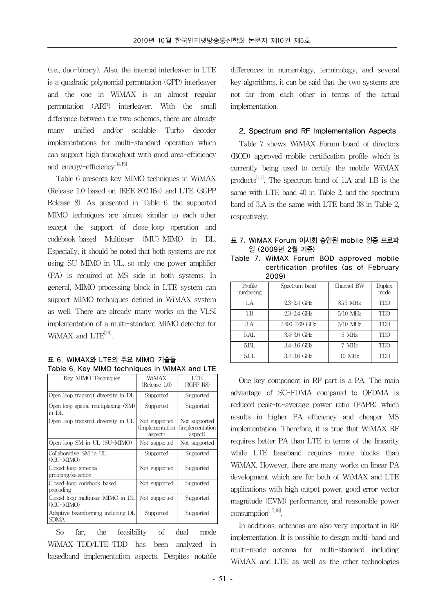(i.e., duo-binary). Also, the internal interleaver in LTE is a quadratic polynomial permutation (QPP) interleaver and the one in WiMAX is an almost regular permutation (ARP) interleaver. With the small difference between the two schemes, there are already many unified and/or scalable Turbo decoder implementations for multi-standard operation which can support high throughput with good area-efficiency and energy-efficiency $^{[14,15]}$ .

Table 6 presents key MIMO techniques in WiMAX (Release 1.0 based on IEEE 802.16e) and LTE (3GPP Release 8). As presented in Table 6, the supported MIMO techniques are almost similar to each other except the support of close-loop operation and codebook-based Multiuser (MU)-MIMO in DL. Especially, it should be noted that both systems are not using SU-MIMO in UL, so only one power amplifier (PA) is required at MS side in both systems. In general, MIMO processing block in LTE system can support MIMO techniques defined in WiMAX system as well. There are already many works on the VLSI implementation of a multi-standard MIMO detector for  $WiMAX$  and  $LTE^{[16]}$ .

|  | 표 6. WiMAX와 LTE의 주요 MIMO 기술들                  |  |  |
|--|-----------------------------------------------|--|--|
|  | Table 6. Key MIMO techniques in WiMAX and LTE |  |  |

| Kev MIMO Techniques                           | WiMAX<br>(Release 1.0)                       | LTE.<br>(3GPP R8)                            |
|-----------------------------------------------|----------------------------------------------|----------------------------------------------|
| Open loop transmit diversity in DL            | Supported                                    | Supported                                    |
| Open loop spatial multiplexing (SM)<br>in DL  | Supported                                    | Supported                                    |
| Open loop transmit diversity in UL            | Not supported<br>(implementation)<br>aspect) | Not supported<br>(implementation)<br>aspect) |
| Open loop SM in UL (SU-MIMO)                  | Not supported                                | Not supported                                |
| Collaborative SM in UL<br>(MU-MIMO)           | Supported                                    | Supported                                    |
| Closed-loop antenna<br>grouping/selection     | Not supported                                | Supported                                    |
| Closed-loop codebook-based<br>precoding       | Not supported                                | Supported                                    |
| Closed loop multiuser MIMO in DL<br>(MU-MIMO) | Not supported                                | Supported                                    |
| Adaptive beamforming including DL<br>SDMA     | Supported                                    | Supported                                    |

So far, the feasibility of dual mode WiMAX-TDD/LTE-TDD has been analyzed in basedband implementation aspects. Despites notable

differences in numerology, terminology, and several key algorithms, it can be said that the two systems are not far from each other in terms of the actual implementation.

#### 2. Spectrum and RF Implementation Aspects

Table 7 shows WiMAX Forum board of directors (BOD) approved mobile certification profile which is currently being used to certify the mobile WiMAX products<sup>[11]</sup>. The spectrum band of 1.A and 1.B is the same with LTE band 40 in Table 2, and the spectrum band of 3.A is the same with LTE band 38 in Table 2, respectively.

#### **표 7. WiMAX Forum 이사회 승인된 mobile 인증 프로파 일 (2009년 2월 기준)**

**Table 7. WiMAX Forum BOD approved mobile certification profiles (as of February 2009)**

| Profile<br>numbering | Spectrum band   | Channel BW | Duplex<br>mode |
|----------------------|-----------------|------------|----------------|
| 1.A                  | $2.3 - 2.4$ GHz | 8.75 MHz   | TDD            |
| 1.B                  | $2.3 - 2.4$ GHz | $5/10$ MHz | TDD            |
| A                    | 2.496-2.69 GHz  | $5/10$ MHz | TDD            |
| 5.AL                 | $3.4 - 3.6$ GHz | 5 MHz      | TDD            |
| 5.BL                 | $3.4 - 3.6$ GHz | 7 MHz      | TDD            |
| 5.CL                 | $3.4 - 3.6$ GHz | $10$ MHz   | TDD            |

One key component in RF part is a PA. The main advantage of SC-FDMA compared to OFDMA is reduced peak-to-average power ratio (PAPR) which results in higher PA efficiency and cheaper MS implementation. Therefore, it is true that WiMAX RF requires better PA than LTE in terms of the linearity while LTE baseband requires more blocks than WiMAX. However, there are many works on linear PA development which are for both of WiMAX and LTE applications with high output power, good error vector magnitude (EVM) performance, and reasonable power consumption[17,18].

In additions, antennas are also very important in RF implementation. It is possible to design multi-band and multi-mode antenna for multi-standard including WiMAX and LTE as well as the other technologies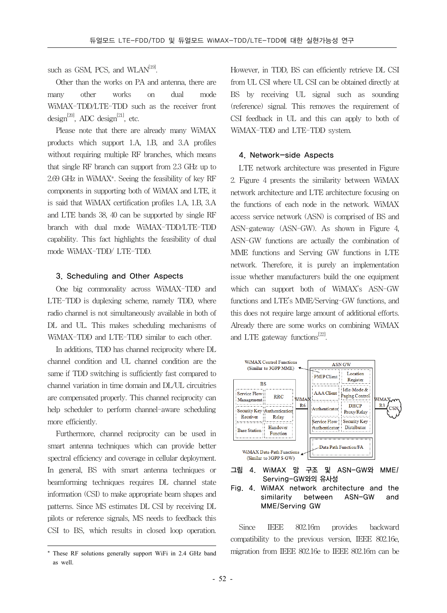such as GSM, PCS, and WLA $N^{[19]}$ .

Other than the works on PA and antenna, there are many other works on dual mode WiMAX-TDD/LTE-TDD such as the receiver front design<sup>[20]</sup>, ADC design<sup>[21]</sup>, etc.

Please note that there are already many WiMAX products which support 1.A, 1.B, and 3.A profiles without requiring multiple RF branches, which means that single RF branch can support from 2.3 GHz up to 2.69 GHz in WiMAX\*. Seeing the feasibility of key RF components in supporting both of WiMAX and LTE, it is said that WiMAX certification profiles 1.A, 1.B, 3.A and LTE bands 38, 40 can be supported by single RF branch with dual mode WiMAX-TDD/LTE-TDD capability. This fact highlights the feasibility of dual mode WiMAX-TDD/ LTE-TDD.

#### 3. Scheduling and Other Aspects

One big commonality across WiMAX-TDD and LTE-TDD is duplexing scheme, namely TDD, where radio channel is not simultaneously available in both of DL and UL. This makes scheduling mechanisms of WiMAX-TDD and LTE-TDD similar to each other.

In additions, TDD has channel reciprocity where DL channel condition and UL channel condition are the same if TDD switching is sufficiently fast compared to channel variation in time domain and DL/UL circuitries are compensated properly. This channel reciprocity can help scheduler to perform channel-aware scheduling more efficiently.

Furthermore, channel reciprocity can be used in smart antenna techniques which can provide better spectral efficiency and coverage in cellular deployment. In general, BS with smart antenna techniques or beamforming techniques requires DL channel state information (CSI) to make appropriate beam shapes and patterns. Since MS estimates DL CSI by receiving DL pilots or reference signals, MS needs to feedback this CSI to BS, which results in closed loop operation.

However, in TDD, BS can efficiently retrieve DL CSI from UL CSI where UL CSI can be obtained directly at BS by receiving UL signal such as sounding (reference) signal. This removes the requirement of CSI feedback in UL and this can apply to both of WiMAX-TDD and LTE-TDD system.

#### 4. Network-side Aspects

LTE network architecture was presented in Figure 2. Figure 4 presents the similarity between WiMAX network architecture and LTE architecture focusing on the functions of each node in the network. WiMAX access service network (ASN) is comprised of BS and ASN-gateway (ASN-GW). As shown in Figure 4, ASN-GW functions are actually the combination of MME functions and Serving GW functions in LTE network. Therefore, it is purely an implementation issue whether manufacturers build the one equipment which can support both of WiMAX's ASN-GW functions and LTE's MME/Serving-GW functions, and this does not require large amount of additional efforts. Already there are some works on combining WiMAX and LTE gateway functions $^{[22]}$ .



**그림 4. WiMAX 망 구조 및 ASN-GW와 MME/ Serving-GW와의 유사성**

**Fig. 4. WiMAX network architecture and the similarity between ASN-GW and MME/Serving GW**

Since IEEE 802.16m provides backward compatibility to the previous version, IEEE 802.16e, migration from IEEE 802.16e to IEEE 802.16m can be

<sup>\*</sup> These RF solutions generally support WiFi in 2.4 GHz band as well.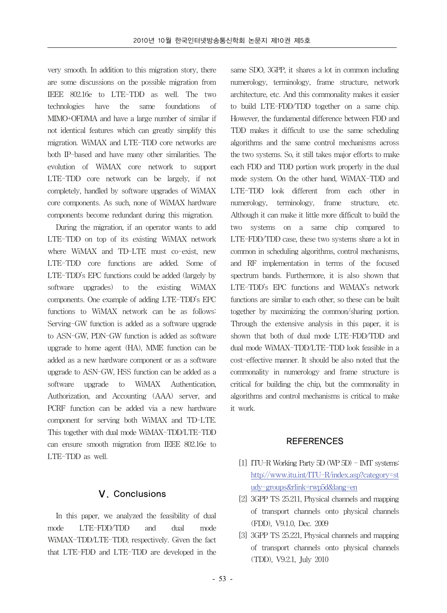very smooth. In addition to this migration story, there are some discussions on the possible migration from IEEE 802.16e to LTE-TDD as well. The two technologies have the same foundations of MIMO+OFDMA and have a large number of similar if not identical features which can greatly simplify this migration. WiMAX and LTE-TDD core networks are both IP-based and have many other similarities. The evolution of WiMAX core network to support LTE-TDD core network can be largely, if not completely, handled by software upgrades of WiMAX core components. As such, none of WiMAX hardware components become redundant during this migration.

During the migration, if an operator wants to add LTE-TDD on top of its existing WiMAX network where WiMAX and TD-LTE must co-exist, new LTE-TDD core functions are added. Some of LTE-TDD's EPC functions could be added (largely by software upgrades) to the existing WiMAX components. One example of adding LTE-TDD's EPC functions to WiMAX network can be as follows: Serving-GW function is added as a software upgrade to ASN-GW, PDN-GW function is added as software upgrade to home agent (HA), MME function can be added as a new hardware component or as a software upgrade to ASN-GW, HSS function can be added as a software upgrade to WiMAX Authentication, Authorization, and Accounting (AAA) server, and PCRF function can be added via a new hardware component for serving both WiMAX and TD-LTE. This together with dual mode WiMAX-TDD/LTE-TDD can ensure smooth migration from IEEE 802.16e to LTE-TDD as well.

#### Ⅴ. Conclusions

In this paper, we analyzed the feasibility of dual mode LTE-FDD/TDD and dual mode WiMAX-TDD/LTE-TDD, respectively. Given the fact that LTE-FDD and LTE-TDD are developed in the

same SDO, 3GPP, it shares a lot in common including numerology, terminology, frame structure, network architecture, etc. And this commonality makes it easier to build LTE-FDD/TDD together on a same chip. However, the fundamental difference between FDD and TDD makes it difficult to use the same scheduling algorithms and the same control mechanisms across the two systems. So, it still takes major efforts to make each FDD and TDD portion work properly in the dual mode system. On the other hand, WiMAX-TDD and LTE-TDD look different from each other in numerology, terminology, frame structure, etc. Although it can make it little more difficult to build the two systems on a same chip compared to LTE-FDD/TDD case, these two systems share a lot in common in scheduling algorithms, control mechanisms, and RF implementation in terms of the focused spectrum bands. Furthermore, it is also shown that LTE-TDD's EPC functions and WiMAX's network functions are similar to each other, so these can be built together by maximizing the common/sharing portion. Through the extensive analysis in this paper, it is shown that both of dual mode LTE-FDD/TDD and dual mode WiMAX-TDD/LTE-TDD look feasible in a cost-effective manner. It should be also noted that the commonality in numerology and frame structure is critical for building the chip, but the commonality in algorithms and control mechanisms is critical to make it work.

#### REFERENCES

- [1] ITU-R Working Party 5D (WP 5D) IMT systems: http://www.itu.int/ITU-R/index.asp?category=st udy-groups&rlink=rwp5d&lang=en
- [2] 3GPP TS 25.211, Physical channels and mapping of transport channels onto physical channels (FDD), V9.1.0, Dec. 2009
- [3] 3GPP TS 25.221, Physical channels and mapping of transport channels onto physical channels (TDD), V9.2.1, July 2010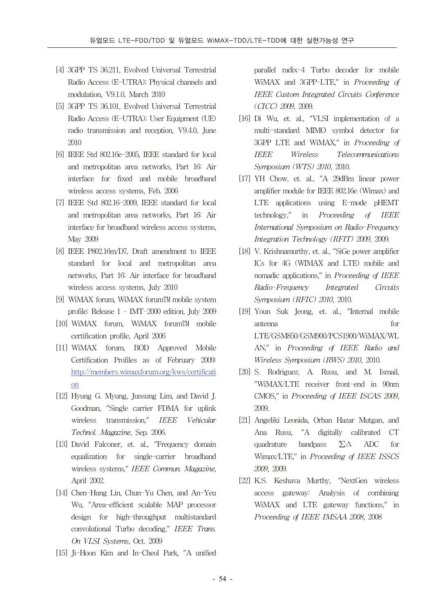- [4] 3GPP TS 36.211, Evolved Universal Terrestrial Radio Access (E-UTRA); Physical channels and modulation, V9.1.0, March 2010
- [5] 3GPP TS 36.101, Evolved Universal Terrestrial Radio Access (E-UTRA); User Equipment (UE) radio transmission and reception, V9.4.0, June 2010
- [6] IEEE Std 802.16e-2005, IEEE standard for local and metropolitan area networks, Part 16: Air interface for fixed and mobile broadband wireless access systems, Feb. 2006
- [7] IEEE Std 802.16-2009, IEEE standard for local and metropolitan area networks, Part 16: Air interface for broadband wireless access systems, May 2009
- [8] IEEE P802.16m/D7, Draft amendment to IEEE standard for local and metropolitan area networks, Part 16: Air interface for broadband wireless access systems, July 2010
- [9] WiMAX forum, WiMAX forum™ mobile system profile: Release 1 - IMT-2000 edition, July 2009
- [10] WiMAX forum, WiMAX forumTM mobile certification profile, April 2006
- [11] WiMAX forum, BOD Approved Mobile Certification Profiles as of February 2009: http://members.wimaxforum.org/kws/certificati on
- [12] Hyung G. Myung, Junsung Lim, and David J. Goodman, "Single carrier FDMA for uplink wireless transmission," IEEE Vehicular Technol. Magazine, Sep. 2006.
- [13] David Falconer, et. al., "Frequency domain equalization for single-carrier broadband wireless systems," IEEE Commun. Magazine, April 2002.
- [14] Chen-Hung Lin, Chun-Yu Chen, and An-Yeu Wu, "Area-efficient scalable MAP processor design for high-throughput multistandard convolutional Turbo decoding," IEEE Trans. On VLSI Systems, Oct. 2009
- [15] Ji-Hoon Kim and In-Cheol Park, "A unified

parallel radix-4 Turbo decoder for mobile WiMAX and 3GPP-LTE," in Proceeding of IEEE Custom Integrated Circuits Conference (CICC) 2009, 2009.

- [16] Di Wu, et. al., "VLSI implementation of a multi-standard MIMO symbol detector for 3GPP LTE and WiMAX," in Proceeding of IEEE Wireless Telecommunications Symposium (WTS) 2010, 2010.
- [17] YH Chow, et. al., "A 29dBm linear power amplifier module for IEEE 802.16e (Wimax) and LTE applications using E-mode pHEMT technology," in Proceeding of IEEE International Symposium on Radio-Frequency Integration Technology (RFIT) 2009, 2009.
- [18] V. Krishnamurthy, et. al., "SiGe power amplifier ICs for 4G (WIMAX and LTE) mobile and nomadic applications," in Proceeding of IEEE Radio-Frequency Integrated Circuits Symposium (RFIC) 2010, 2010.
- [19] Youn Suk Jeong, et. al., "Internal mobile antenna for LTE/GSM850/GSM900/PCS1900/WiMAX/WL AN," in Proceeding of IEEE Radio and Wireless Symposium (RWS) 2010, 2010.
- [20] S. Rodriguez, A. Rusu, and M. Ismail, "WiMAX/LTE receiver front-end in 90nm CMOS," in Proceeding of IEEE ISCAS 2009, 2009.
- [21] Angeliki Leonida, Orhan Hazar Mutgan, and Ana Rusu, "A digitally calibrated CT quadrature bandpass ∑∆ ADC for Wimax/LTE," in Proceeding of IEEE ISSCS 2009, 2009.
- [22] K.S. Keshava Murthy, "NextGen wireless access gateway: Analysis of combining WiMAX and LTE gateway functions," in Proceeding of IEEE IMSAA 2008, 2008